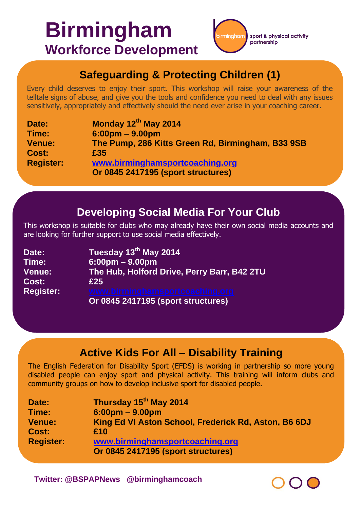# **Birmingham Workforce Development**



### **Safeguarding & Protecting Children (1)**

Every child deserves to enjoy their sport. This workshop will raise your awareness of the telltale signs of abuse, and give you the tools and confidence you need to deal with any issues sensitively, appropriately and effectively should the need ever arise in your coaching career.

| Date:            | Monday 12th May 2014                              |
|------------------|---------------------------------------------------|
| Time:            | $6:00 \text{pm} - 9.00 \text{pm}$                 |
| <b>Venue:</b>    | The Pump, 286 Kitts Green Rd, Birmingham, B33 9SB |
| Cost:            | £35                                               |
| <b>Register:</b> | www.birminghamsportcoaching.org                   |
|                  | Or 0845 2417195 (sport structures)                |

#### **Developing Social Media For Your Club**

This workshop is suitable for clubs who may already have their own social media accounts and are looking for further support to use social media effectively.

| Date:            | Tuesday 13th May 2014                       |
|------------------|---------------------------------------------|
| Time:            | $6:00 \text{pm} - 9.00 \text{pm}$           |
| <b>Venue:</b>    | The Hub, Holford Drive, Perry Barr, B42 2TU |
| Cost:            | £25                                         |
| <b>Register:</b> | www.birminghamsportcoaching.org             |
|                  | Or 0845 2417195 (sport structures)          |

### **Active Kids For All – Disability Training**

The English Federation for Disability Sport (EFDS) is working in partnership so more young disabled people can enjoy sport and physical activity. This training will inform clubs and community groups on how to develop inclusive sport for disabled people.

| Date:            | Thursday 15 <sup>th</sup> May 2014                   |
|------------------|------------------------------------------------------|
| Time:            | $6:00 \text{pm} - 9.00 \text{pm}$                    |
| <b>Venue:</b>    | King Ed VI Aston School, Frederick Rd, Aston, B6 6DJ |
| Cost:            | £10                                                  |
| <b>Register:</b> | www.birminghamsportcoaching.org                      |
|                  | <b>Or 0845 2417195 (sport structures)</b>            |